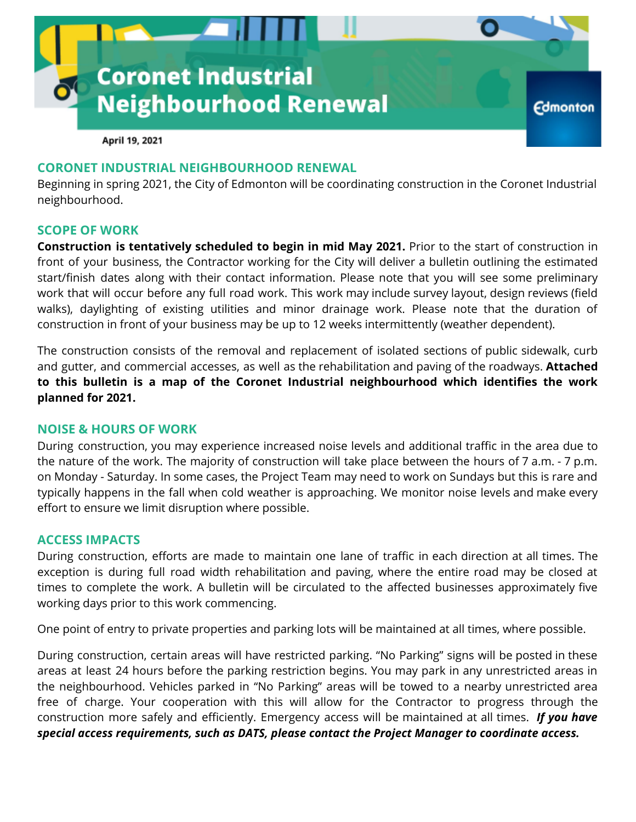

April 19, 2021

## **CORONET INDUSTRIAL NEIGHBOURHOOD RENEWAL**

Beginning in spring 2021, the City of Edmonton will be coordinating construction in the Coronet Industrial neighbourhood.

### **SCOPE OF WORK**

**Construction is tentatively scheduled to begin in mid May 2021.** Prior to the start of construction in front of your business, the Contractor working for the City will deliver a bulletin outlining the estimated start/finish dates along with their contact information. Please note that you will see some preliminary work that will occur before any full road work. This work may include survey layout, design reviews (field walks), daylighting of existing utilities and minor drainage work. Please note that the duration of construction in front of your business may be up to 12 weeks intermittently (weather dependent).

The construction consists of the removal and replacement of isolated sections of public sidewalk, curb and gutter, and commercial accesses, as well as the rehabilitation and paving of the roadways. **Attached to this bulletin is a map of the Coronet Industrial neighbourhood which identifies the work planned for 2021.**

#### **NOISE & HOURS OF WORK**

During construction, you may experience increased noise levels and additional traffic in the area due to the nature of the work. The majority of construction will take place between the hours of 7 a.m. - 7 p.m. on Monday - Saturday. In some cases, the Project Team may need to work on Sundays but this is rare and typically happens in the fall when cold weather is approaching. We monitor noise levels and make every effort to ensure we limit disruption where possible.

### **ACCESS IMPACTS**

During construction, efforts are made to maintain one lane of traffic in each direction at all times. The exception is during full road width rehabilitation and paving, where the entire road may be closed at times to complete the work. A bulletin will be circulated to the affected businesses approximately five working days prior to this work commencing.

One point of entry to private properties and parking lots will be maintained at all times, where possible.

During construction, certain areas will have restricted parking. "No Parking" signs will be posted in these areas at least 24 hours before the parking restriction begins. You may park in any unrestricted areas in the neighbourhood. Vehicles parked in "No Parking" areas will be towed to a nearby unrestricted area free of charge. Your cooperation with this will allow for the Contractor to progress through the construction more safely and efficiently. Emergency access will be maintained at all times. *If you have special access requirements, such as DATS, please contact the Project Manager to coordinate access.*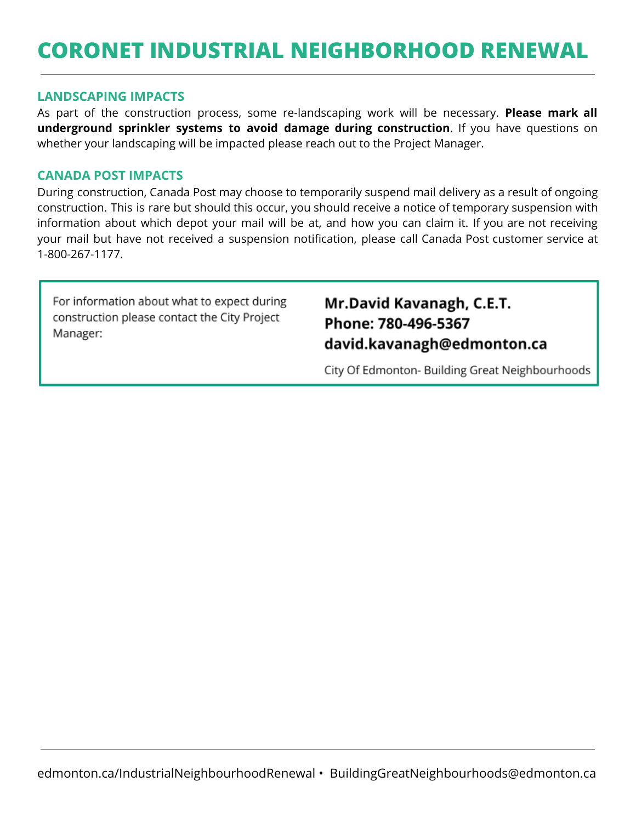# **CORONET INDUSTRIAL NEIGHBORHOOD RENEWAL**

### **LANDSCAPING IMPACTS**

As part of the construction process, some re-landscaping work will be necessary. **Please mark all underground sprinkler systems to avoid damage during construction**. If you have questions on whether your landscaping will be impacted please reach out to the Project Manager.

### **CANADA POST IMPACTS**

During construction, Canada Post may choose to temporarily suspend mail delivery as a result of ongoing construction. This is rare but should this occur, you should receive a notice of temporary suspension with information about which depot your mail will be at, and how you can claim it. If you are not receiving your mail but have not received a suspension notification, please call Canada Post customer service at 1-800-267-1177.

For information about what to expect during construction please contact the City Project Manager:

# Mr.David Kavanagh, C.E.T. Phone: 780-496-5367 david.kavanagh@edmonton.ca

City Of Edmonton- Building Great Neighbourhoods